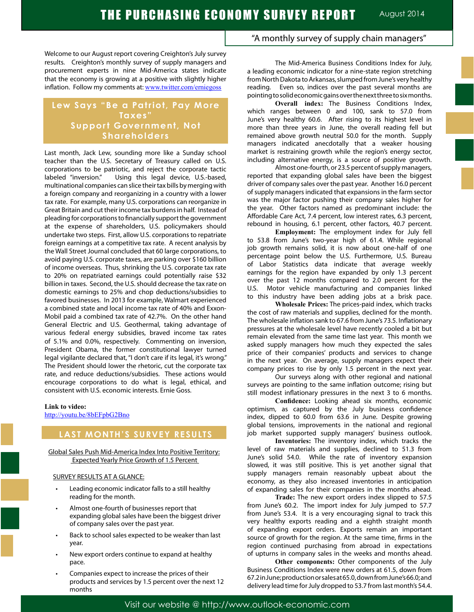Welcome to our August report covering Creighton's July survey results. Creighton's monthly survey of supply managers and procurement experts in nine Mid-America states indicate that the economy is growing at a positive with slightly higher inflation. Follow my comments at: www.twitter.com/erniegoss

## **Lew Says "Be a Patriot, Pay More Taxes" Support Government, Not Shareholders**

Last month, Jack Lew, sounding more like a Sunday school teacher than the U.S. Secretary of Treasury called on U.S. corporations to be patriotic, and reject the corporate tactic labeled "inversion." Using this legal device, U.S.-based, multinational companies can slice their tax bills by merging with a foreign company and reorganizing in a country with a lower tax rate. For example, many U.S. corporations can reorganize in Great Britain and cut their income tax burdens in half. Instead of pleading for corporations to financially support the government at the expense of shareholders, U.S. policymakers should undertake two steps. First, allow U.S. corporations to repatriate foreign earnings at a competitive tax rate. A recent analysis by the Wall Street Journal concluded that 60 large corporations, to avoid paying U.S. corporate taxes, are parking over \$160 billion of income overseas. Thus, shrinking the U.S. corporate tax rate to 20% on repatriated earnings could potentially raise \$32 billion in taxes. Second, the U.S. should decrease the tax rate on domestic earnings to 25% and chop deductions/subsidies to favored businesses. In 2013 for example, Walmart experienced a combined state and local income tax rate of 40% and Exxon-Mobil paid a combined tax rate of 42.7%. On the other hand General Electric and U.S. Geothermal, taking advantage of various federal energy subsidies, braved income tax rates of 5.1% and 0.0%, respectively. Commenting on inversion, President Obama, the former constitutional lawyer turned legal vigilante declared that, "I don't care if its legal, it's wrong." The President should lower the rhetoric, cut the corporate tax rate, and reduce deductions/subsidies. These actions would encourage corporations to do what is legal, ethical, and consistent with U.S. economic interests. Ernie Goss.

#### **Link to video:**

http://youtu.be/8bEFpbG2Bno

## **LAST MONTH'S SURVEY RESULTS**

Global Sales Push Mid-America Index Into Positive Territory: Expected Yearly Price Growth of 1.5 Percent

#### SURVEY RESULTS AT A GLANCE:

- Leading economic indicator falls to a still healthy reading for the month.
- Almost one-fourth of businesses report that expanding global sales have been the biggest driver of company sales over the past year.
- Back to school sales expected to be weaker than last year.
- New export orders continue to expand at healthy pace.
- Companies expect to increase the prices of their products and services by 1.5 percent over the next 12 months

"A monthly survey of supply chain managers"

The Mid-America Business Conditions Index for July, a leading economic indicator for a nine-state region stretching from North Dakota to Arkansas, slumped from June's very healthy reading. Even so, indices over the past several months are pointing to solid economic gains over the next three to six months.

**Overall index:** The Business Conditions Index, which ranges between 0 and 100, sank to 57.0 from June's very healthy 60.6. After rising to its highest level in more than three years in June, the overall reading fell but remained above growth neutral 50.0 for the month. Supply managers indicated anecdotally that a weaker housing market is restraining growth while the region's energy sector, including alternative energy, is a source of positive growth.

Almost one-fourth, or 23.5 percent of supply managers, reported that expanding global sales have been the biggest driver of company sales over the past year. Another 16.0 percent of supply managers indicated that expansions in the farm sector was the major factor pushing their company sales higher for the year. Other factors named as predominant include: the Affordable Care Act, 7.4 percent, low interest rates, 6.3 percent, rebound in housing, 6.1 percent, other factors, 40.7 percent.

**Employment:** The employment index for July fell to 53.8 from June's two-year high of 61.4. While regional job growth remains solid, it is now about one-half of one percentage point below the U.S. Furthermore, U.S. Bureau of Labor Statistics data indicate that average weekly earnings for the region have expanded by only 1.3 percent over the past 12 months compared to 2.0 percent for the U.S. Motor vehicle manufacturing and companies linked to this industry have been adding jobs at a brisk pace.

**Wholesale Prices:** The prices-paid index, which tracks the cost of raw materials and supplies, declined for the month. The wholesale inflation sank to 67.6 from June's 73.5. Inflationary pressures at the wholesale level have recently cooled a bit but remain elevated from the same time last year. This month we asked supply managers how much they expected the sales price of their companies' products and services to change in the next year. On average, supply managers expect their company prices to rise by only 1.5 percent in the next year.

Our surveys along with other regional and national surveys are pointing to the same inflation outcome; rising but still modest inflationary pressures in the next 3 to 6 months.

**Confidence:** Looking ahead six months, economic optimism, as captured by the July business confidence index, dipped to 60.0 from 63.6 in June. Despite growing global tensions, improvements in the national and regional job market supported supply managers' business outlook.

**Inventories:** The inventory index, which tracks the level of raw materials and supplies, declined to 51.3 from June's solid 54.0. While the rate of inventory expansion slowed, it was still positive. This is yet another signal that supply managers remain reasonably upbeat about the economy, as they also increased inventories in anticipation of expanding sales for their companies in the months ahead.

**Trade:** The new export orders index slipped to 57.5 from June's 60.2. The import index for July jumped to 57.7 from June's 53.4. It is a very encouraging signal to track this very healthy exports reading and a eighth straight month of expanding export orders. Exports remain an important source of growth for the region. At the same time, firms in the region continued purchasing from abroad in expectations of upturns in company sales in the weeks and months ahead.

**Other components:** Other components of the July Business Conditions Index were new orders at 61.5, down from 67.2 in June; production or sales at 65.0, down from June's 66.0; and delivery lead time for July dropped to 53.7 from last month's 54.4.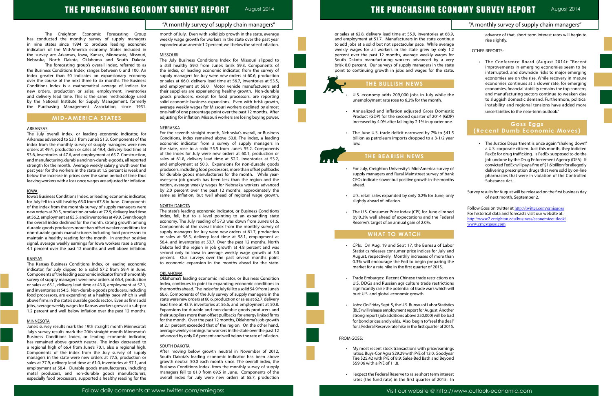### "A monthly survey of supply chain managers"

# THE PURCHASING ECONOMY SURVEY REPORT August 2014

The Creighton Economic Forecasting Group has conducted the monthly survey of supply managers in nine states since 1994 to produce leading economic indicators of the Mid-America economy. States included in the survey are Arkansas, Iowa, Kansas, Minnesota, Missouri, Nebraska, North Dakota, Oklahoma and South Dakota.

The forecasting group's overall index, referred to as the Business Conditions Index, ranges between 0 and 100. An index greater than 50 indicates an expansionary economy over the course of the next three to six months. The Business Conditions Index is a mathematical average of indices for new orders, production or sales, employment, inventories and delivery lead time. This is the same methodology used by the National Institute for Supply Management, formerly the Purchasing Management Association, since 1931.

#### **MID-AMERICA STATES**

#### ARKANSAS

The July overall index, or leading economic indicator, for Arkansas advanced to 53.1 from June's 51.3. Components of the index from the monthly survey of supply managers were new orders at 49.4, production or sales at 49.4, delivery lead time at 53.6, inventories at 47.6, and employment at 65.7. Construction, and manufacturing, durable and non-durable goods, all reported strength for the month. Average weekly salary growth over the past year for the workers in the state at 1.5 percent is weak and below the increase in prices over the same period of time thus leaving workers with a loss once wages are adjusted for inflation.

#### IOWA

Iowa's Business Conditions Index, or leading economic indicator, for July fell to a still healthy 63.0 from 67.8 in June. Components of the index from the monthly survey of supply managers were new orders at 70.5, production or sales at 72.9, delivery lead time at 56.2, employment at 65.5, and inventories at 49.9. Even though the overall index declined for the month, strong growth among durable goods producers more than offset weaker conditions for non-durable goods manufacturers including food processors to maintain a healthy reading for the month. In another positive signal, average weekly earnings for Iowa workers rose a strong 4.1 percent over the past 12 months and well above inflation.

#### **KANSAS**

The Kansas Business Conditions Index, or leading economic indicator, for July dipped to a solid 57.2 from 59.4 in June. Components of the leading economic indicator from the monthly survey of supply managers were new orders at 66.4, production or sales at 65.1, delivery lead time at 43.0, employment at 57.1, and inventories at 54.5. Non-durable goods producers, including food processors, are expanding at a healthy pace which is well above firms in the state's durable goods sector. Even as firms add jobs, average weekly wages for Kansas workers grew at a sub-par 1.2 percent and well below inflation over the past 12 months.

#### **MINNESOTA**

June's survey results mark the 19th straight month Minnesota's July's survey results mark the 20th straight month Minnesota's Business Conditions Index, or leading economic indicator, has remained above growth neutral. The index decreased to a regional high of 66.4 from June's 70.1, also a regional high. Components of the index from the July survey of supply managers in the state were new orders at 77.5, production or sales at 77.9, delivery lead time at 61.0, inventories at 57.1, and employment at 58.4. Durable goods manufacturers, including metal producers, and non-durable goods manufacturers, especially food processors, supported a healthy reading for the month of July. Even with solid job growth in the state, average weekly wage growth for workers in the state over the past year expanded at an anemic 1.2 percent, well below the rate of inflation.

#### **MISSOURI**

- Annualized and inflation adjusted Gross Domest Product (GDP) for the second quarter of 2014 (GD increased by 4.0% after falling by 2.1% in quarter on
- The June U.S. trade deficit narrowed by 7% to \$41. billion as petroleum imports dropped to a  $3-1/2$  year. low.

- For July, Creighton University's Mid-America survey supply managers and Rural Mainstreet survey of ba CEOs indicate slower but positive growth in the mont ahead.
- U.S. retail sales expanded by only 0.2% for June, or slightly ahead of inflation.
- The U.S. Consumer Price Index (CPI) for June climb by 0.3% well ahead of expectations and the Fede Reserve's target of an annual gain of 2.0%.

The July Business Conditions Index for Missouri slipped to a still healthy 59.0 from June's brisk 59.3. Components of the index, or leading economic indicator, from the survey of supply managers for July were new orders at 60.6, production or sales at 66.0, delivery lead time at 56.7, inventories at 53.5, and employment at 58.0. Motor vehicle manufacturers and their suppliers are experiencing healthy growth. Non-durable goods producers, except for food processors, are reporting solid economic business expansions. Even with brisk growth, average weekly wages for Missouri workers declined by almost one-half of one percentage point over the past 12 months. After adjusting for inflation, Missouri workers are losing buying power.

#### NEBRASKA

- My most recent stock transactions with price/earnin ratios: Buys-ConAgra \$29.29 with P/E of 13.0; Goodye Tire \$25.42 with P/E of 8.9; Sales-Bed Bath and Beyon \$59.06 with a P/E of 11.8.
- I expect the Federal Reserve to raise short term intere rates (the fund rate) in the first quarter of 2015. In

For the seventh straight month, Nebraska's overall, or Business Conditions, index remained above 50.0. The index, a leading economic indicator from a survey of supply managers in the state, rose to a solid 55.5 from June's 55.2. Components of the index for July were new orders at 60.1, production or sales at 61.8, delivery lead time at 52.2, inventories at 53.2, and employment at 50.3. Expansions for non-durable goods producers, including food processors, more than offset pullbacks for durable goods manufacturers for the month. While yearover-year job growth has been less than the region and the nation, average weekly wages for Nebraska workers advanced by 2.0 percent over the past 12 months, approximately the same as inflation, but well ahead of regional wage growth.

#### NORTH DAKOTA

|                                                                                                                                                                                                                                                                                                                                                                                                                                                                                                                          | "A monthly survey of supply chain managers"                                                                                                                                                                                                                                                                     |
|--------------------------------------------------------------------------------------------------------------------------------------------------------------------------------------------------------------------------------------------------------------------------------------------------------------------------------------------------------------------------------------------------------------------------------------------------------------------------------------------------------------------------|-----------------------------------------------------------------------------------------------------------------------------------------------------------------------------------------------------------------------------------------------------------------------------------------------------------------|
| or sales at 62.8, delivery lead time at 55.9, inventories at 68.9,<br>and employment at 51.7. Manufacturers in the state continue<br>to add jobs at a solid but not spectacular pace. While average<br>weekly wages for all workers in the state grew by only 1.2<br>percent over the past 12 months, average weekly wages for<br>South Dakota manufacturing workers advanced by a very<br>brisk 8.0 percent. Our surveys of supply managers in the state<br>point to continuing growth in jobs and wages for the state. | advance of that, short term interest rates will begin to<br>rise slightly.<br><b>OTHER REPORTS:</b><br>The Conference Board (August 2014): "Recent<br>improvements in emerging economies seem to be<br>interrupted, and downside risks to major emerging<br>economies are on the rise. While recovery in mature |
| THE BULLISH NEWS                                                                                                                                                                                                                                                                                                                                                                                                                                                                                                         | economies continues at a slower rate, for emerging                                                                                                                                                                                                                                                              |
| U.S. economy adds 209,000 jobs in July while the<br>unemployment rate rose to 6.2% for the month.                                                                                                                                                                                                                                                                                                                                                                                                                        | economies, financial stability remains the top concern,<br>and manufacturing sectors continue to weaken due<br>to sluggish domestic demand. Furthermore, political<br>instability and regional tensions have added more                                                                                         |
| Annualized and inflation adjusted Gross Domestic<br>$\bullet$<br>Product (GDP) for the second quarter of 2014 (GDP)<br>increased by 4.0% after falling by 2.1% in quarter one.                                                                                                                                                                                                                                                                                                                                           | uncertainties to the near-term outlook."                                                                                                                                                                                                                                                                        |
| The June U.S. trade deficit narrowed by 7% to \$41.5                                                                                                                                                                                                                                                                                                                                                                                                                                                                     | Goss Eggs<br>(Recent Dumb Economic Moves)                                                                                                                                                                                                                                                                       |
| billion as petroleum imports dropped to a 3-1/2 year<br>low.                                                                                                                                                                                                                                                                                                                                                                                                                                                             | The Justice Department is once again "shaking down"<br>a U.S. corporate citizen. Just this month, they indicted                                                                                                                                                                                                 |
| THE BEARISH NEWS                                                                                                                                                                                                                                                                                                                                                                                                                                                                                                         | FexEx for drug trafficking. Is FedEx supposed to do the<br>job undone by the Drug Enforcement Agency (DEA). If<br>convicted FedEx will pay a fine of \$1.6 billion for allegedly                                                                                                                                |
| For July, Creighton University's Mid-America survey of<br>$\bullet$<br>supply managers and Rural Mainstreet survey of bank<br>CEOs indicate slower but positive growth in the months<br>ahead.                                                                                                                                                                                                                                                                                                                           | delivering prescription drugs that were sold by on-line<br>pharmacies that were in violation of the Controlled<br>Substance Act.                                                                                                                                                                                |
| U.S. retail sales expanded by only 0.2% for June, only<br>$\bullet$<br>slightly ahead of inflation.                                                                                                                                                                                                                                                                                                                                                                                                                      | Survey results for August will be released on the first business day<br>of next month, September 2.                                                                                                                                                                                                             |
| The U.S. Consumer Price Index (CPI) for June climbed<br>by 0.3% well ahead of expectations and the Federal<br>Reserve's target of an annual gain of 2.0%.                                                                                                                                                                                                                                                                                                                                                                | Follow Goss on twitter at http://twitter.com/erniegoss<br>For historical data and forecasts visit our website at:<br>http://www2.creighton.edu/business/economicoutlook/<br>www.ernestgoss.com                                                                                                                  |
| <b>WHAT TO WATCH</b>                                                                                                                                                                                                                                                                                                                                                                                                                                                                                                     |                                                                                                                                                                                                                                                                                                                 |
| CPIs: On Aug. 19 and Sept 17, the Bureau of Labor<br>Statistics releases consumer price indices for July and<br>August, respectively. Monthly increases of more than<br>0.3% will encourage the Fed to begin preparing the<br>market for a rate hike in the first quarter of 2015.                                                                                                                                                                                                                                       |                                                                                                                                                                                                                                                                                                                 |
| Trade Embargos: Recent Chinese trade restrictions on<br>$\bullet$<br>U.S. DDGs and Russian agriculture trade restrictions<br>significantly raise the potential of trade wars which will<br>hurt U.S. and global economic growth.                                                                                                                                                                                                                                                                                         |                                                                                                                                                                                                                                                                                                                 |
| Jobs: On Friday Sept. 5, the U.S. Bureau of Labor Statistics<br>$\bullet$<br>(BLS) will release employment report for August. Another<br>strong report (job additions above 250,000) will be bad<br>for bond prices and yields. Also, begin to "seal the deal"<br>for a Federal Reserve rate hike in the first quarter of 2015.                                                                                                                                                                                          |                                                                                                                                                                                                                                                                                                                 |
| FROM GOSS:                                                                                                                                                                                                                                                                                                                                                                                                                                                                                                               |                                                                                                                                                                                                                                                                                                                 |
| My most recent stock transactions with price/earnings<br>$\bullet$<br>ratios: Buys-ConAgra \$29.29 with P/E of 13.0; Goodyear<br>Tire \$25.42 with P/E of 8.9; Sales-Bed Bath and Beyond<br>\$59.06 with a P/E of 11.8.                                                                                                                                                                                                                                                                                                  |                                                                                                                                                                                                                                                                                                                 |
| I expect the Federal Reserve to raise short term interest<br>$\bullet$                                                                                                                                                                                                                                                                                                                                                                                                                                                   |                                                                                                                                                                                                                                                                                                                 |

The state's leading economic indicator, or Business Conditions Index, fell, but to a level pointing to an expanding state economy. The July reading of 57.3 was down from June's 61.6. Components of the overall index from the monthly survey of supply managers for July were new orders at 61.7, production or sales at 56.5, delivery lead time at 58.1, employment at 56.4, and inventories at 53.7. Over the past 12 months, North Dakota led the region in job growth at 4.8 percent and was second only to Iowa in average weekly wage growth at 3.0 percent. Our surveys over the past several months point to economic expansion in the months ahead for the state.

#### OKLAHOMA

Oklahoma's leading economic indicator, or Business Condition Index, continues to point to expanding economic conditions in the months ahead. The index for July fell to a solid 54.9 from June's 66.6. Components of the July survey of supply managers in the state were new orders at 60.6, production or sales at 62.7, delivery lead time at 43.9, inventories at 56.6, and employment at 50.8. Expansions for durable and non-durable goods producers and their suppliers more than offset pullbacks for energy linked firms for the month. Over the past 12 months, Oklahoma's job growth at 2.1 percent exceeded that of the region. On the other hand, average weekly earnings for workers in the state over the past 12 advanced by only 0.6 percent and well below the rate of inflation.

#### **SOUTH DAKOTA**

After moving below growth neutral in November of 2012, South Dakota's leading economic indicator has been above growth neutral 50.0 each month since. The overall index, the Business Conditions Index, from the monthly survey of supply managers fell to 61.0 from 69.5 in June. Components of the overall index for July were new orders at 65.7, production





## **THE BEARISH NEWS**

## **WHAT TO WATCH**

- CPIs: On Aug. 19 and Sept 17, the Bureau of Lab Statistics releases consumer price indices for July and August, respectively. Monthly increases of more th 0.3% will encourage the Fed to begin preparing th market for a rate hike in the first quarter of 2015.
- Trade Embargos: Recent Chinese trade restrictions U.S. DDGs and Russian agriculture trade restrictions. significantly raise the potential of trade wars which v hurt U.S. and global economic growth.
- Jobs: On Friday Sept. 5, the U.S. Bureau of Labor Statist (BLS) will release employment report for August. Anoth strong report (job additions above 250,000) will be ba for bond prices and yields. Also, begin to "seal the de for a Federal Reserve rate hike in the first quarter of 2015

#### FROM GOSS: